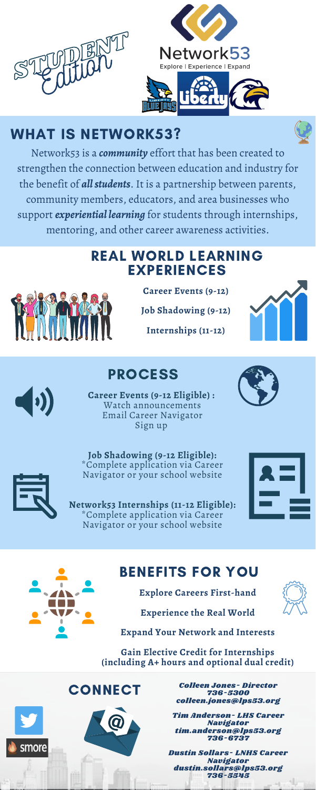**Career Events (9-12)**

**Job Shadowing (9-12)**

**Internships (11-12)**



### REAL WORLD LEARNING EXPERIENCES



**Career Events (9-12 Eligible) :** Watch announcements Email Career Navigator Sign up





\*Complete application via Career





 $\left(\left| \cdot \right| \right)$ 

Navigator or your school website

**Network53 Internships (11-12 Eligible):** \*Complete application via Career Navigator or your school website



## PROCESS

# WHAT IS NETWORK53?

Politich

Colleen Jones- Director 736-5300 colleen.jones@lps53.org

Tim Anderson- LHS Career Navigator tim.anderson@lps53.org 736-6737

Dustin Sollars- LNHS Career Navigator dustin.sollars@lps53.org 736-5545

**Explore Careers First-hand**



**Experience the Real World**

**Expand Your Network and Interests**

**Gain Elective Credit for Internships (including A+ hours and optional dual credit)**

**CONNECT** 



### BENEFITS FOR YOU



Network53 is a *community* effort that has been created to strengthen the connection between education and industry for the benefit of *allstudents*. It is a partnership between parents, community members, educators, and area businesses who support *experiential learning* for students through internships, mentoring, and other career awareness activities.